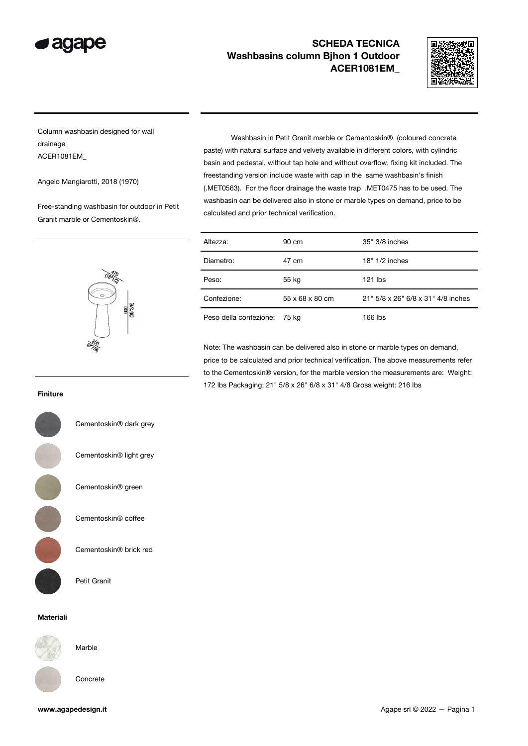



Column washbasin designed for wall drainage ACER1081EM\_

Angelo Mangiarotti, 2018 (1970)

Free-standing washbasin for outdoor in Petit Granit marble or Cementoskin®.

 Washbasin in Petit Granit marble or Cementoskin® (coloured concrete paste) with natural surface and velvety available in different colors, with cylindric basin and pedestal, without tap hole and without overflow, fixing kit included. The freestanding version include waste with cap in the same washbasin's finish (.MET0563). For the floor drainage the waste trap .MET0475 has to be used. The washbasin can be delivered also in stone or marble types on demand, price to be calculated and prior technical verification.

| Altezza:               | 90 cm           | 35" 3/8 inches                     |
|------------------------|-----------------|------------------------------------|
| Diametro:              | 47 cm           | $18" 1/2$ inches                   |
| Peso:                  | 55 kg           | $121$ lbs                          |
| Confezione:            | 55 x 68 x 80 cm | 21" 5/8 x 26" 6/8 x 31" 4/8 inches |
| Peso della confezione: | 75 kg           | 166 lbs                            |

Note: The washbasin can be delivered also in stone or marble types on demand, price to be calculated and prior technical verification. The above measurements refer to the Cementoskin® version, for the marble version the measurements are: Weight: 172 lbs Packaging: 21" 5/8 x 26" 6/8 x 31" 4/8 Gross weight: 216 lbs

#### Finiture

Cementoskin® light grey Cementoskin® green Cementoskin® coffee Cementoskin® brick red

Petit Granit

#### Materiali



Marble





Cementoskin® dark grey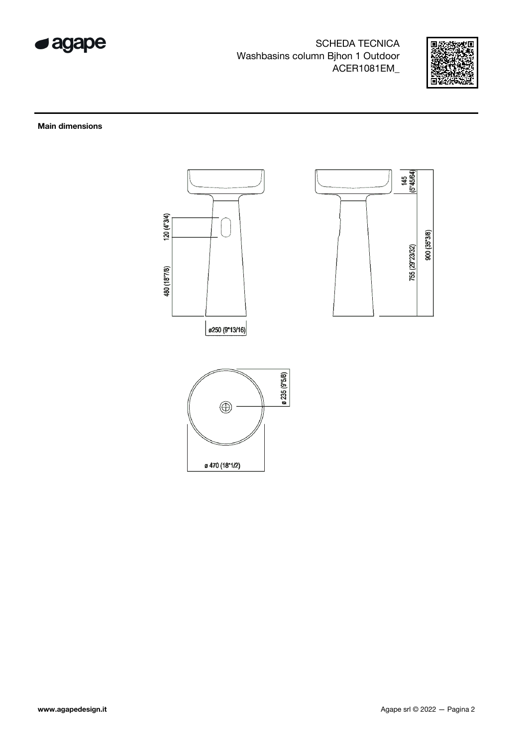



**Main dimensions** 





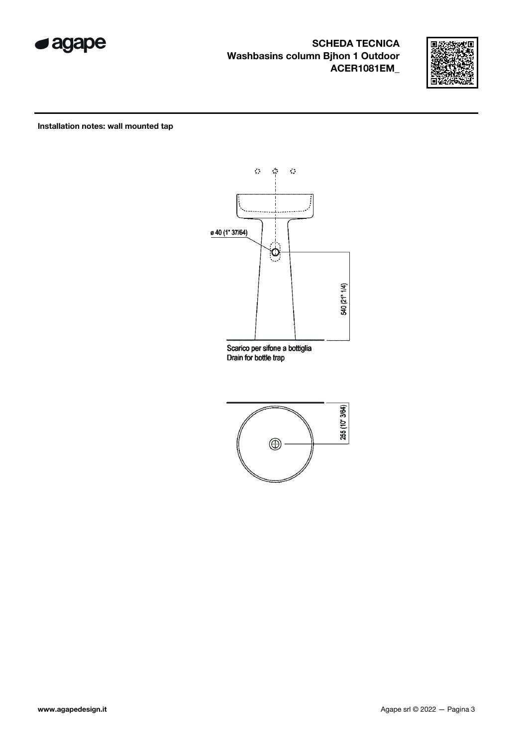



Installation notes: wall mounted tap



Scarico per sifone a bottiglia Drain for bottle trap

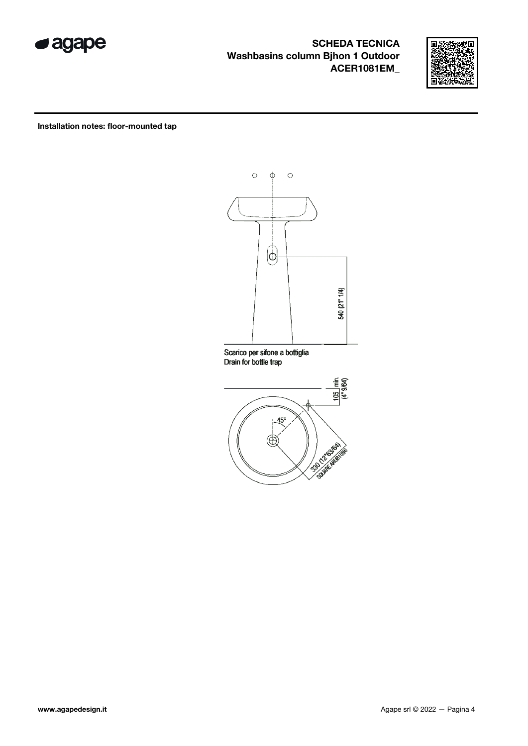



Installation notes: floor-mounted tap



Scarico per sifone a bottiglia Drain for bottle trap